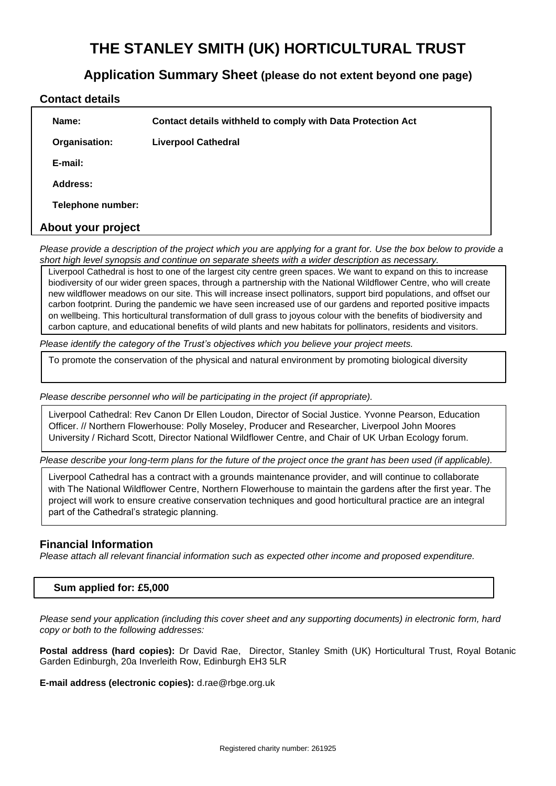# **THE STANLEY SMITH (UK) HORTICULTURAL TRUST**

# **Application Summary Sheet (please do not extent beyond one page)**

#### **Contact details**

|                    | Name:             | Contact details withheld to comply with Data Protection Act |  |  |
|--------------------|-------------------|-------------------------------------------------------------|--|--|
|                    | Organisation:     | <b>Liverpool Cathedral</b>                                  |  |  |
|                    | E-mail:           |                                                             |  |  |
|                    | Address:          |                                                             |  |  |
|                    | Telephone number: |                                                             |  |  |
| About your project |                   |                                                             |  |  |

*Please provide a description of the project which you are applying for a grant for. Use the box below to provide a short high level synopsis and continue on separate sheets with a wider description as necessary.* 

Liverpool Cathedral is host to one of the largest city centre green spaces. We want to expand on this to increase biodiversity of our wider green spaces, through a partnership with the National Wildflower Centre, who will create new wildflower meadows on our site. This will increase insect pollinators, support bird populations, and offset our carbon footprint. During the pandemic we have seen increased use of our gardens and reported positive impacts on wellbeing. This horticultural transformation of dull grass to joyous colour with the benefits of biodiversity and carbon capture, and educational benefits of wild plants and new habitats for pollinators, residents and visitors.

*Please identify the category of the Trust's objectives which you believe your project meets.*

To promote the conservation of the physical and natural environment by promoting biological diversity

*Please describe personnel who will be participating in the project (if appropriate).*

Liverpool Cathedral: Rev Canon Dr Ellen Loudon, Director of Social Justice. Yvonne Pearson, Education Officer. // Northern Flowerhouse: Polly Moseley, Producer and Researcher, Liverpool John Moores University / Richard Scott, Director National Wildflower Centre, and Chair of UK Urban Ecology forum.

*Please describe your long-term plans for the future of the project once the grant has been used (if applicable).*

Liverpool Cathedral has a contract with a grounds maintenance provider, and will continue to collaborate with The National Wildflower Centre, Northern Flowerhouse to maintain the gardens after the first year. The project will work to ensure creative conservation techniques and good horticultural practice are an integral part of the Cathedral's strategic planning.

#### **Financial Information**

*Please attach all relevant financial information such as expected other income and proposed expenditure.*

#### **Sum applied for: £5,000**

*Please send your application (including this cover sheet and any supporting documents) in electronic form, hard copy or both to the following addresses:*

**Postal address (hard copies):** Dr David Rae, Director, Stanley Smith (UK) Horticultural Trust, Royal Botanic Garden Edinburgh, 20a Inverleith Row, Edinburgh EH3 5LR

**E-mail address (electronic copies):** d.rae@rbge.org.uk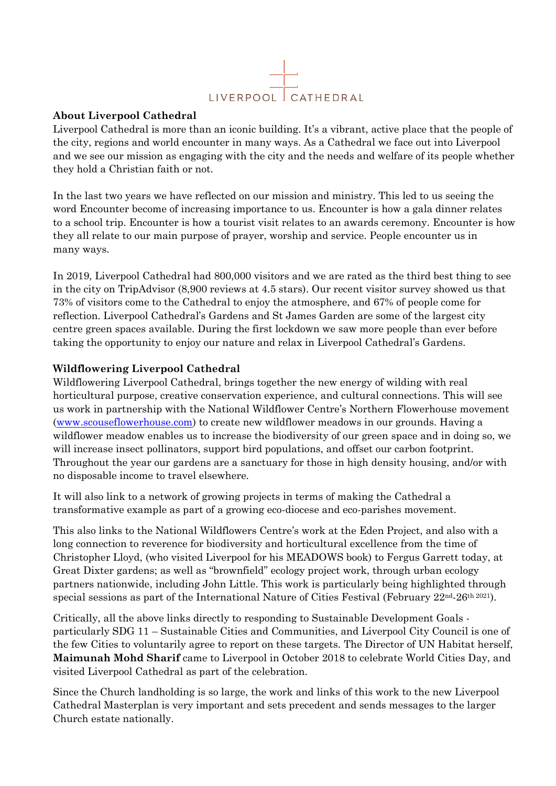

#### **About Liverpool Cathedral**

Liverpool Cathedral is more than an iconic building. It's a vibrant, active place that the people of the city, regions and world encounter in many ways. As a Cathedral we face out into Liverpool and we see our mission as engaging with the city and the needs and welfare of its people whether they hold a Christian faith or not.

In the last two years we have reflected on our mission and ministry. This led to us seeing the word Encounter become of increasing importance to us. Encounter is how a gala dinner relates to a school trip. Encounter is how a tourist visit relates to an awards ceremony. Encounter is how they all relate to our main purpose of prayer, worship and service. People encounter us in many ways.

In 2019, Liverpool Cathedral had 800,000 visitors and we are rated as the third best thing to see in the city on TripAdvisor (8,900 reviews at 4.5 stars). Our recent visitor survey showed us that 73% of visitors come to the Cathedral to enjoy the atmosphere, and 67% of people come for reflection. Liverpool Cathedral's Gardens and St James Garden are some of the largest city centre green spaces available. During the first lockdown we saw more people than ever before taking the opportunity to enjoy our nature and relax in Liverpool Cathedral's Gardens.

## **Wildflowering Liverpool Cathedral**

Wildflowering Liverpool Cathedral, brings together the new energy of wilding with real horticultural purpose, creative conservation experience, and cultural connections. This will see us work in partnership with the National Wildflower Centre's Northern Flowerhouse movement [\(www.scouseflowerhouse.com\)](http://www.scouseflowerhouse.com/) to create new wildflower meadows in our grounds. Having a wildflower meadow enables us to increase the biodiversity of our green space and in doing so, we will increase insect pollinators, support bird populations, and offset our carbon footprint. Throughout the year our gardens are a sanctuary for those in high density housing, and/or with no disposable income to travel elsewhere.

It will also link to a network of growing projects in terms of making the Cathedral a transformative example as part of a growing eco-diocese and eco-parishes movement.

This also links to the National Wildflowers Centre's work at the Eden Project, and also with a long connection to reverence for biodiversity and horticultural excellence from the time of Christopher Lloyd, (who visited Liverpool for his MEADOWS book) to Fergus Garrett today, at Great Dixter gardens; as well as "brownfield" ecology project work, through urban ecology partners nationwide, including John Little. This work is particularly being highlighted through special sessions as part of the International Nature of Cities Festival (February 22<sup>nd</sup>-26<sup>th 2021</sup>).

Critically, all the above links directly to responding to Sustainable Development Goals particularly SDG 11 – Sustainable Cities and Communities, and Liverpool City Council is one of the few Cities to voluntarily agree to report on these targets. The Director of UN Habitat herself, **Maimunah Mohd Sharif** came to Liverpool in October 2018 to celebrate World Cities Day, and visited Liverpool Cathedral as part of the celebration.

Since the Church landholding is so large, the work and links of this work to the new Liverpool Cathedral Masterplan is very important and sets precedent and sends messages to the larger Church estate nationally.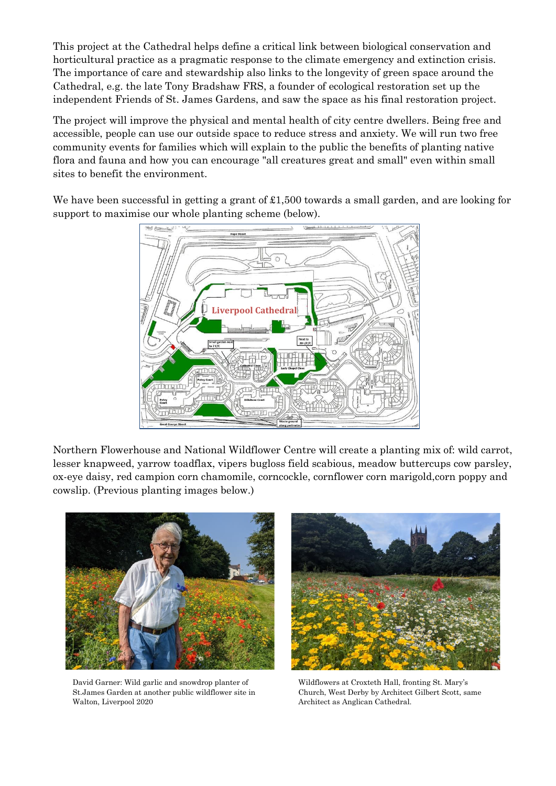This project at the Cathedral helps define a critical link between biological conservation and horticultural practice as a pragmatic response to the climate emergency and extinction crisis. The importance of care and stewardship also links to the longevity of green space around the Cathedral, e.g. the late Tony Bradshaw FRS, a founder of ecological restoration set up the independent Friends of St. James Gardens, and saw the space as his final restoration project.

The project will improve the physical and mental health of city centre dwellers. Being free and accessible, people can use our outside space to reduce stress and anxiety. We will run two free community events for families which will explain to the public the benefits of planting native flora and fauna and how you can encourage "all creatures great and small" even within small sites to benefit the environment.

We have been successful in getting a grant of £1,500 towards a small garden, and are looking for support to maximise our whole planting scheme (below).



Northern Flowerhouse and National Wildflower Centre will create a planting mix of: wild carrot, lesser knapweed, yarrow toadflax, vipers bugloss field scabious, meadow buttercups cow parsley, ox-eye daisy, red campion corn chamomile, corncockle, cornflower corn marigold,corn poppy and cowslip. (Previous planting images below.)



David Garner: Wild garlic and snowdrop planter of St.James Garden at another public wildflower site in Walton, Liverpool 2020



Wildflowers at Croxteth Hall, fronting St. Mary's Church, West Derby by Architect Gilbert Scott, same Architect as Anglican Cathedral.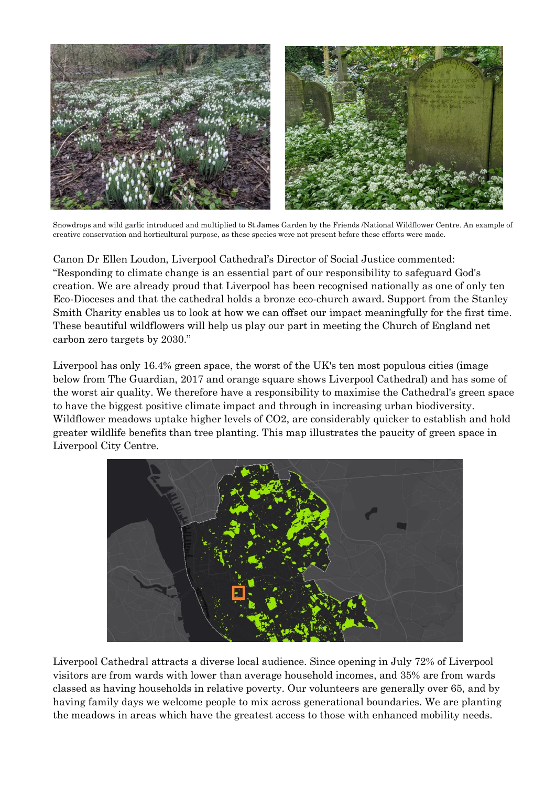

Snowdrops and wild garlic introduced and multiplied to St.James Garden by the Friends /National Wildflower Centre. An example of creative conservation and horticultural purpose, as these species were not present before these efforts were made.

Canon Dr Ellen Loudon, Liverpool Cathedral's Director of Social Justice commented: "Responding to climate change is an essential part of our responsibility to safeguard God's creation. We are already proud that Liverpool has been recognised nationally as one of only ten Eco-Dioceses and that the cathedral holds a bronze eco-church award. Support from the Stanley Smith Charity enables us to look at how we can offset our impact meaningfully for the first time. These beautiful wildflowers will help us play our part in meeting the Church of England net carbon zero targets by 2030."

Liverpool has only 16.4% green space, the worst of the UK's ten most populous cities (image below from The Guardian, 2017 and orange square shows Liverpool Cathedral) and has some of the worst air quality. We therefore have a responsibility to maximise the Cathedral's green space to have the biggest positive climate impact and through in increasing urban biodiversity. Wildflower meadows uptake higher levels of CO2, are considerably quicker to establish and hold greater wildlife benefits than tree planting. This map illustrates the paucity of green space in Liverpool City Centre.



Liverpool Cathedral attracts a diverse local audience. Since opening in July 72% of Liverpool visitors are from wards with lower than average household incomes, and 35% are from wards classed as having households in relative poverty. Our volunteers are generally over 65, and by having family days we welcome people to mix across generational boundaries. We are planting the meadows in areas which have the greatest access to those with enhanced mobility needs.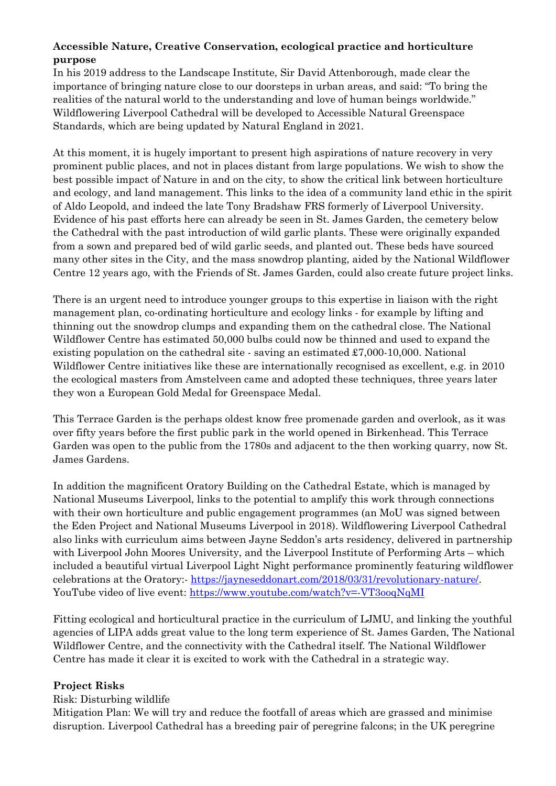# **Accessible Nature, Creative Conservation, ecological practice and horticulture purpose**

In his 2019 address to the Landscape Institute, Sir David Attenborough, made clear the importance of bringing nature close to our doorsteps in urban areas, and said: "To bring the realities of the natural world to the understanding and love of human beings worldwide." Wildflowering Liverpool Cathedral will be developed to Accessible Natural Greenspace Standards, which are being updated by Natural England in 2021.

At this moment, it is hugely important to present high aspirations of nature recovery in very prominent public places, and not in places distant from large populations. We wish to show the best possible impact of Nature in and on the city, to show the critical link between horticulture and ecology, and land management. This links to the idea of a community land ethic in the spirit of Aldo Leopold, and indeed the late Tony Bradshaw FRS formerly of Liverpool University. Evidence of his past efforts here can already be seen in St. James Garden, the cemetery below the Cathedral with the past introduction of wild garlic plants. These were originally expanded from a sown and prepared bed of wild garlic seeds, and planted out. These beds have sourced many other sites in the City, and the mass snowdrop planting, aided by the National Wildflower Centre 12 years ago, with the Friends of St. James Garden, could also create future project links.

There is an urgent need to introduce younger groups to this expertise in liaison with the right management plan, co-ordinating horticulture and ecology links - for example by lifting and thinning out the snowdrop clumps and expanding them on the cathedral close. The National Wildflower Centre has estimated 50,000 bulbs could now be thinned and used to expand the existing population on the cathedral site - saving an estimated  $\pounds 7,000-10,000$ . National Wildflower Centre initiatives like these are internationally recognised as excellent, e.g. in 2010 the ecological masters from Amstelveen came and adopted these techniques, three years later they won a European Gold Medal for Greenspace Medal.

This Terrace Garden is the perhaps oldest know free promenade garden and overlook, as it was over fifty years before the first public park in the world opened in Birkenhead. This Terrace Garden was open to the public from the 1780s and adjacent to the then working quarry, now St. James Gardens.

In addition the magnificent Oratory Building on the Cathedral Estate, which is managed by National Museums Liverpool, links to the potential to amplify this work through connections with their own horticulture and public engagement programmes (an MoU was signed between the Eden Project and National Museums Liverpool in 2018). Wildflowering Liverpool Cathedral also links with curriculum aims between Jayne Seddon's arts residency, delivered in partnership with Liverpool John Moores University, and the Liverpool Institute of Performing Arts – which included a beautiful virtual Liverpool Light Night performance prominently featuring wildflower celebrations at the Oratory: [https://jayneseddonart.com/2018/03/31/revolutionary-nature/.](https://jayneseddonart.com/2018/03/31/revolutionary-nature/) YouTube video of live event: <https://www.youtube.com/watch?v=-VT3ooqNqMI>

Fitting ecological and horticultural practice in the curriculum of LJMU, and linking the youthful agencies of LIPA adds great value to the long term experience of St. James Garden, The National Wildflower Centre, and the connectivity with the Cathedral itself. The National Wildflower Centre has made it clear it is excited to work with the Cathedral in a strategic way.

## **Project Risks**

## Risk: Disturbing wildlife

Mitigation Plan: We will try and reduce the footfall of areas which are grassed and minimise disruption. Liverpool Cathedral has a breeding pair of peregrine falcons; in the UK peregrine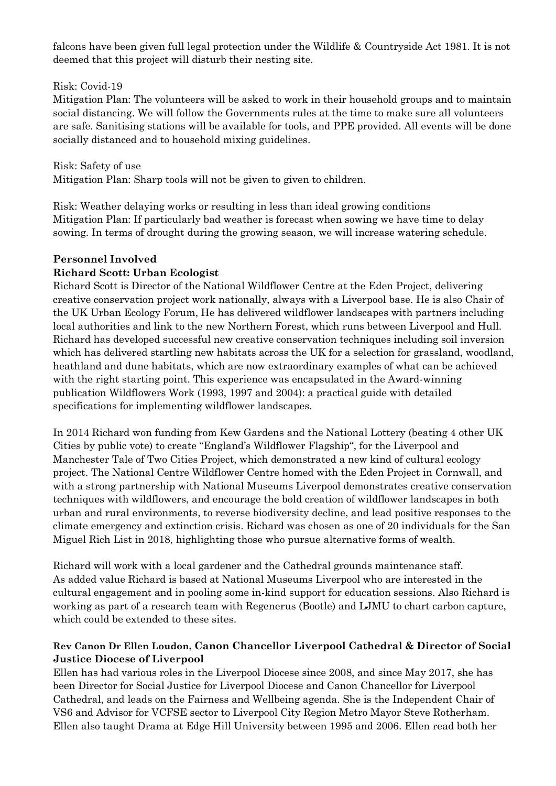falcons have been given full legal protection under the Wildlife & Countryside Act 1981. It is not deemed that this project will disturb their nesting site.

#### Risk: Covid-19

Mitigation Plan: The volunteers will be asked to work in their household groups and to maintain social distancing. We will follow the Governments rules at the time to make sure all volunteers are safe. Sanitising stations will be available for tools, and PPE provided. All events will be done socially distanced and to household mixing guidelines.

Risk: Safety of use Mitigation Plan: Sharp tools will not be given to given to children.

Risk: Weather delaying works or resulting in less than ideal growing conditions Mitigation Plan: If particularly bad weather is forecast when sowing we have time to delay sowing. In terms of drought during the growing season, we will increase watering schedule.

## **Personnel Involved**

#### **Richard Scott: Urban Ecologist**

Richard Scott is Director of the National Wildflower Centre at the Eden Project, delivering creative conservation project work nationally, always with a Liverpool base. He is also Chair of the UK Urban Ecology Forum, He has delivered wildflower landscapes with partners including local authorities and link to the new Northern Forest, which runs between Liverpool and Hull. Richard has developed successful new creative conservation techniques including soil inversion which has delivered startling new habitats across the UK for a selection for grassland, woodland, heathland and dune habitats, which are now extraordinary examples of what can be achieved with the right starting point. This experience was encapsulated in the Award-winning publication Wildflowers Work (1993, 1997 and 2004): a practical guide with detailed specifications for implementing wildflower landscapes.

In 2014 Richard won funding from Kew Gardens and the National Lottery (beating 4 other UK Cities by public vote) to create "England's Wildflower Flagship", for the Liverpool and Manchester Tale of Two Cities Project, which demonstrated a new kind of cultural ecology project. The National Centre Wildflower Centre homed with the Eden Project in Cornwall, and with a strong partnership with National Museums Liverpool demonstrates creative conservation techniques with wildflowers, and encourage the bold creation of wildflower landscapes in both urban and rural environments, to reverse biodiversity decline, and lead positive responses to the climate emergency and extinction crisis. Richard was chosen as one of 20 individuals for the San Miguel Rich List in 2018, highlighting those who pursue alternative forms of wealth.

Richard will work with a local gardener and the Cathedral grounds maintenance staff. As added value Richard is based at National Museums Liverpool who are interested in the cultural engagement and in pooling some in-kind support for education sessions. Also Richard is working as part of a research team with Regenerus (Bootle) and LJMU to chart carbon capture, which could be extended to these sites.

# **Rev Canon Dr Ellen Loudon, Canon Chancellor Liverpool Cathedral & Director of Social Justice Diocese of Liverpool**

Ellen has had various roles in the Liverpool Diocese since 2008, and since May 2017, she has been Director for Social Justice for Liverpool Diocese and Canon Chancellor for Liverpool Cathedral, and leads on the Fairness and Wellbeing agenda. She is the Independent Chair of VS6 and Advisor for VCFSE sector to Liverpool City Region Metro Mayor Steve Rotherham. Ellen also taught Drama at Edge Hill University between 1995 and 2006. Ellen read both her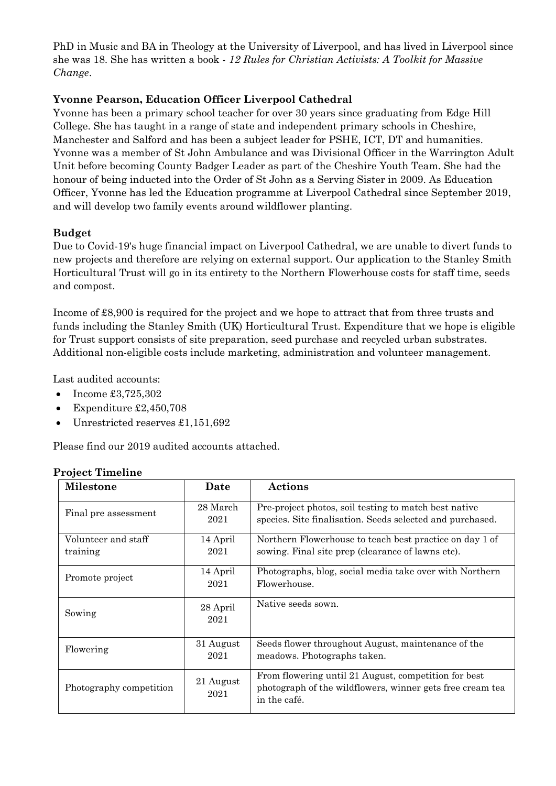PhD in Music and BA in Theology at the University of Liverpool, and has lived in Liverpool since she was 18. She has written a book - *12 Rules for Christian Activists: A Toolkit for Massive Change*.

# **Yvonne Pearson, Education Officer Liverpool Cathedral**

Yvonne has been a primary school teacher for over 30 years since graduating from Edge Hill College. She has taught in a range of state and independent primary schools in Cheshire, Manchester and Salford and has been a subject leader for PSHE, ICT, DT and humanities. Yvonne was a member of St John Ambulance and was Divisional Officer in the Warrington Adult Unit before becoming County Badger Leader as part of the Cheshire Youth Team. She had the honour of being inducted into the Order of St John as a Serving Sister in 2009. As Education Officer, Yvonne has led the Education programme at Liverpool Cathedral since September 2019, and will develop two family events around wildflower planting.

#### **Budget**

Due to Covid-19's huge financial impact on Liverpool Cathedral, we are unable to divert funds to new projects and therefore are relying on external support. Our application to the Stanley Smith Horticultural Trust will go in its entirety to the Northern Flowerhouse costs for staff time, seeds and compost.

Income of £8,900 is required for the project and we hope to attract that from three trusts and funds including the Stanley Smith (UK) Horticultural Trust. Expenditure that we hope is eligible for Trust support consists of site preparation, seed purchase and recycled urban substrates. Additional non-eligible costs include marketing, administration and volunteer management.

Last audited accounts:

- Income £3,725,302
- Expenditure £2,450,708
- Unrestricted reserves £1,151,692

Please find our 2019 audited accounts attached.

| <b>Milestone</b>                | Date              | <b>Actions</b>                                                                                                                    |
|---------------------------------|-------------------|-----------------------------------------------------------------------------------------------------------------------------------|
| Final pre assessment            | 28 March<br>2021  | Pre-project photos, soil testing to match best native<br>species. Site finalisation. Seeds selected and purchased.                |
| Volunteer and staff<br>training | 14 April<br>2021  | Northern Flowerhouse to teach best practice on day 1 of<br>sowing. Final site prep (clearance of lawns etc).                      |
| Promote project                 | 14 April<br>2021  | Photographs, blog, social media take over with Northern<br>Flowerhouse.                                                           |
| Sowing                          | 28 April<br>2021  | Native seeds sown.                                                                                                                |
| Flowering                       | 31 August<br>2021 | Seeds flower throughout August, maintenance of the<br>meadows. Photographs taken.                                                 |
| Photography competition         | 21 August<br>2021 | From flowering until 21 August, competition for best<br>photograph of the wildflowers, winner gets free cream tea<br>in the café. |

## **Project Timeline**